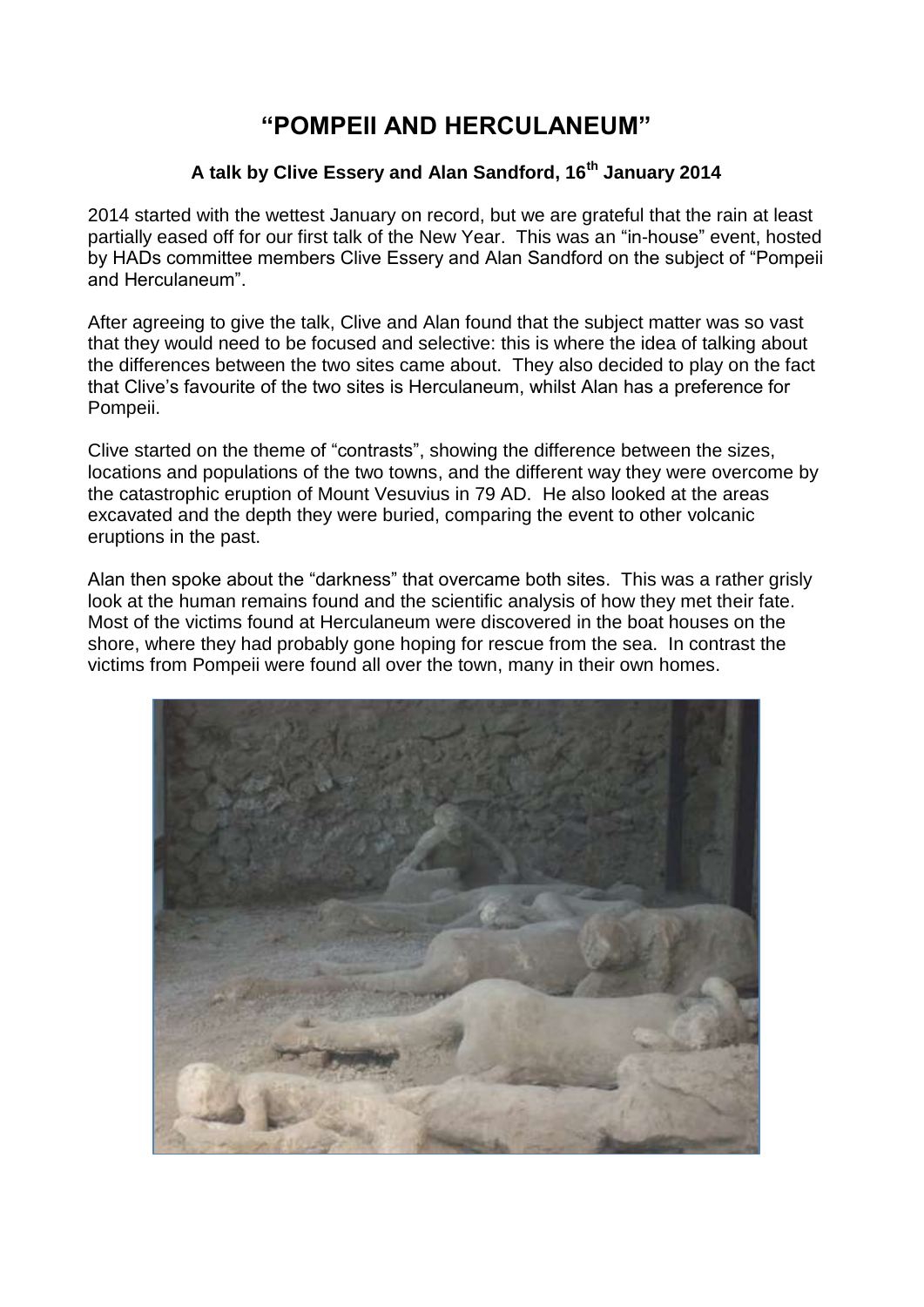## **"POMPEII AND HERCULANEUM"**

## **A talk by Clive Essery and Alan Sandford, 16th January 2014**

2014 started with the wettest January on record, but we are grateful that the rain at least partially eased off for our first talk of the New Year. This was an "in-house" event, hosted by HADs committee members Clive Essery and Alan Sandford on the subject of "Pompeii and Herculaneum".

After agreeing to give the talk, Clive and Alan found that the subject matter was so vast that they would need to be focused and selective: this is where the idea of talking about the differences between the two sites came about. They also decided to play on the fact that Clive's favourite of the two sites is Herculaneum, whilst Alan has a preference for Pompeii.

Clive started on the theme of "contrasts", showing the difference between the sizes, locations and populations of the two towns, and the different way they were overcome by the catastrophic eruption of Mount Vesuvius in 79 AD. He also looked at the areas excavated and the depth they were buried, comparing the event to other volcanic eruptions in the past.

Alan then spoke about the "darkness" that overcame both sites. This was a rather grisly look at the human remains found and the scientific analysis of how they met their fate. Most of the victims found at Herculaneum were discovered in the boat houses on the shore, where they had probably gone hoping for rescue from the sea. In contrast the victims from Pompeii were found all over the town, many in their own homes.